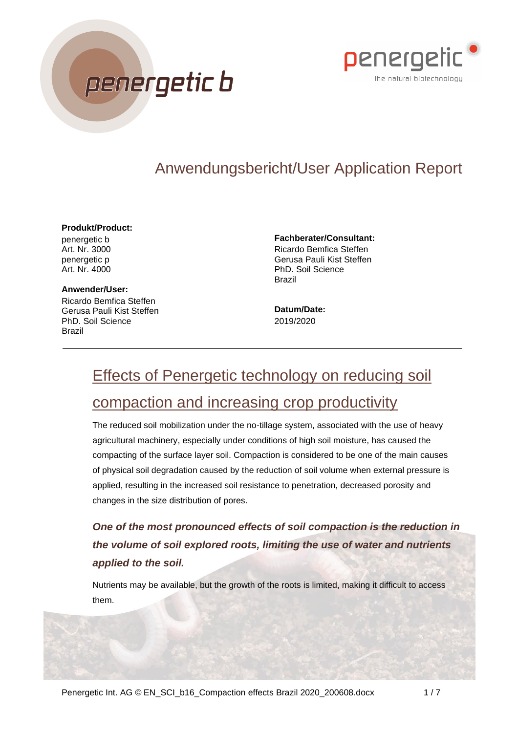



# Anwendungsbericht/User Application Report

#### **Produkt/Product:**

penergetic b Art. Nr. 3000 penergetic p Art. Nr. 4000

**Anwender/User:** Ricardo Bemfica Steffen Gerusa Pauli Kist Steffen PhD. Soil Science Brazil

**Fachberater/Consultant:**

Ricardo Bemfica Steffen Gerusa Pauli Kist Steffen PhD. Soil Science Brazil

**Datum/Date:** 2019/2020

# Effects of Penergetic technology on reducing soil

# compaction and increasing crop productivity

The reduced soil mobilization under the no-tillage system, associated with the use of heavy agricultural machinery, especially under conditions of high soil moisture, has caused the compacting of the surface layer soil. Compaction is considered to be one of the main causes of physical soil degradation caused by the reduction of soil volume when external pressure is applied, resulting in the increased soil resistance to penetration, decreased porosity and changes in the size distribution of pores.

*One of the most pronounced effects of soil compaction is the reduction in the volume of soil explored roots, limiting the use of water and nutrients applied to the soil.*

Nutrients may be available, but the growth of the roots is limited, making it difficult to access them.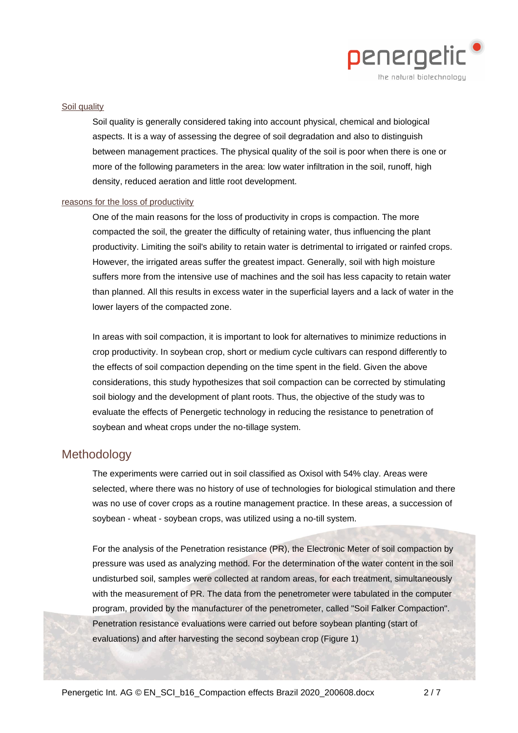

#### Soil quality

Soil quality is generally considered taking into account physical, chemical and biological aspects. It is a way of assessing the degree of soil degradation and also to distinguish between management practices. The physical quality of the soil is poor when there is one or more of the following parameters in the area: low water infiltration in the soil, runoff, high density, reduced aeration and little root development.

#### reasons for the loss of productivity

One of the main reasons for the loss of productivity in crops is compaction. The more compacted the soil, the greater the difficulty of retaining water, thus influencing the plant productivity. Limiting the soil's ability to retain water is detrimental to irrigated or rainfed crops. However, the irrigated areas suffer the greatest impact. Generally, soil with high moisture suffers more from the intensive use of machines and the soil has less capacity to retain water than planned. All this results in excess water in the superficial layers and a lack of water in the lower layers of the compacted zone.

In areas with soil compaction, it is important to look for alternatives to minimize reductions in crop productivity. In soybean crop, short or medium cycle cultivars can respond differently to the effects of soil compaction depending on the time spent in the field. Given the above considerations, this study hypothesizes that soil compaction can be corrected by stimulating soil biology and the development of plant roots. Thus, the objective of the study was to evaluate the effects of Penergetic technology in reducing the resistance to penetration of soybean and wheat crops under the no-tillage system.

## Methodology

The experiments were carried out in soil classified as Oxisol with 54% clay. Areas were selected, where there was no history of use of technologies for biological stimulation and there was no use of cover crops as a routine management practice. In these areas, a succession of soybean - wheat - soybean crops, was utilized using a no-till system.

For the analysis of the Penetration resistance (PR), the Electronic Meter of soil compaction by pressure was used as analyzing method. For the determination of the water content in the soil undisturbed soil, samples were collected at random areas, for each treatment, simultaneously with the measurement of PR. The data from the penetrometer were tabulated in the computer program, provided by the manufacturer of the penetrometer, called "Soil Falker Compaction". Penetration resistance evaluations were carried out before soybean planting (start of evaluations) and after harvesting the second soybean crop (Figure 1)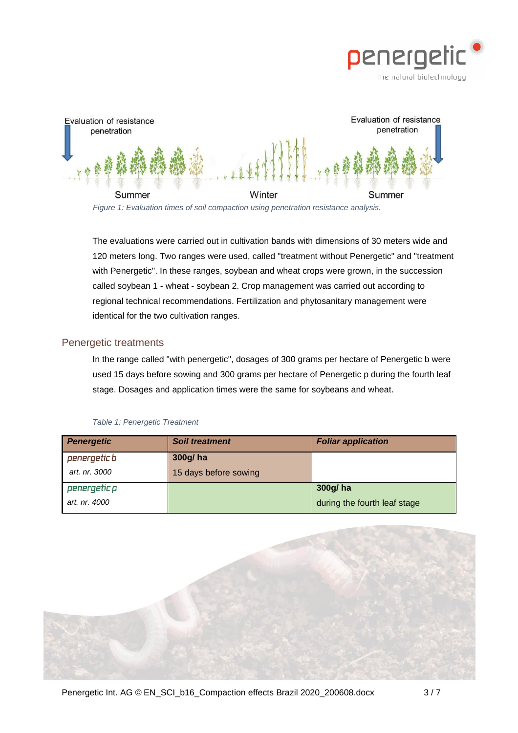



The evaluations were carried out in cultivation bands with dimensions of 30 meters wide and 120 meters long. Two ranges were used, called "treatment without Penergetic" and "treatment with Penergetic". In these ranges, soybean and wheat crops were grown, in the succession called soybean 1 - wheat - soybean 2. Crop management was carried out according to regional technical recommendations. Fertilization and phytosanitary management were identical for the two cultivation ranges.

### Penergetic treatments

In the range called "with penergetic", dosages of 300 grams per hectare of Penergetic b were used 15 days before sowing and 300 grams per hectare of Penergetic p during the fourth leaf stage. Dosages and application times were the same for soybeans and wheat.

| <b>Penergetic</b> | <b>Soil treatment</b> | <b>Foliar application</b>    |
|-------------------|-----------------------|------------------------------|
| penergetic b      | 300g/ha               |                              |
| art. nr. 3000     | 15 days before sowing |                              |
| penergetic p      |                       | 300g/ha                      |
| art. nr. 4000     |                       | during the fourth leaf stage |

#### *Table 1: Penergetic Treatment*

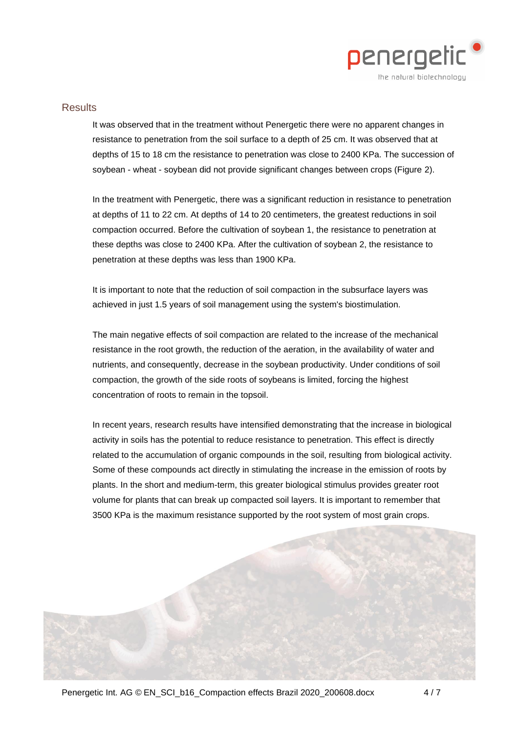

#### **Results**

It was observed that in the treatment without Penergetic there were no apparent changes in resistance to penetration from the soil surface to a depth of 25 cm. It was observed that at depths of 15 to 18 cm the resistance to penetration was close to 2400 KPa. The succession of soybean - wheat - soybean did not provide significant changes between crops (Figure 2).

In the treatment with Penergetic, there was a significant reduction in resistance to penetration at depths of 11 to 22 cm. At depths of 14 to 20 centimeters, the greatest reductions in soil compaction occurred. Before the cultivation of soybean 1, the resistance to penetration at these depths was close to 2400 KPa. After the cultivation of soybean 2, the resistance to penetration at these depths was less than 1900 KPa.

It is important to note that the reduction of soil compaction in the subsurface layers was achieved in just 1.5 years of soil management using the system's biostimulation.

The main negative effects of soil compaction are related to the increase of the mechanical resistance in the root growth, the reduction of the aeration, in the availability of water and nutrients, and consequently, decrease in the soybean productivity. Under conditions of soil compaction, the growth of the side roots of soybeans is limited, forcing the highest concentration of roots to remain in the topsoil.

In recent years, research results have intensified demonstrating that the increase in biological activity in soils has the potential to reduce resistance to penetration. This effect is directly related to the accumulation of organic compounds in the soil, resulting from biological activity. Some of these compounds act directly in stimulating the increase in the emission of roots by plants. In the short and medium-term, this greater biological stimulus provides greater root volume for plants that can break up compacted soil layers. It is important to remember that 3500 KPa is the maximum resistance supported by the root system of most grain crops.

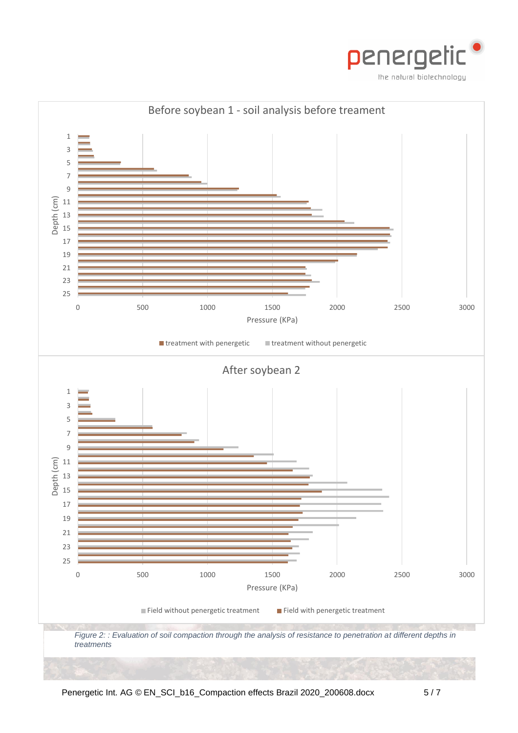

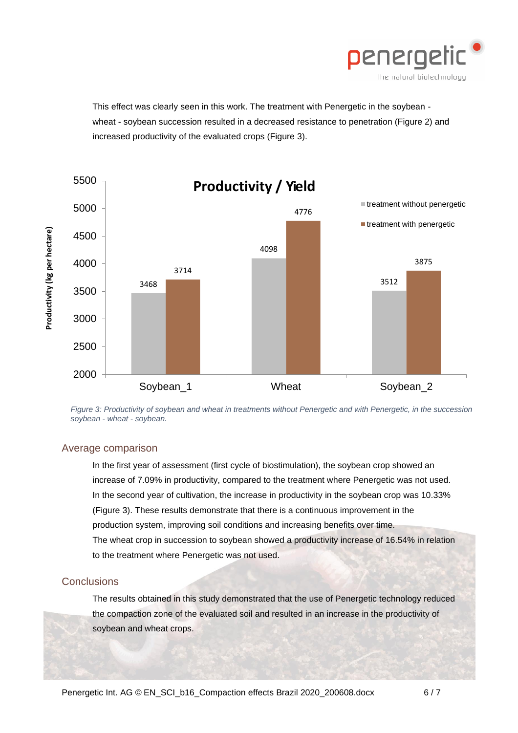

This effect was clearly seen in this work. The treatment with Penergetic in the soybean wheat - soybean succession resulted in a decreased resistance to penetration (Figure 2) and increased productivity of the evaluated crops (Figure 3).



*Figure 3: Productivity of soybean and wheat in treatments without Penergetic and with Penergetic, in the succession soybean - wheat - soybean.*

#### Average comparison

In the first year of assessment (first cycle of biostimulation), the soybean crop showed an increase of 7.09% in productivity, compared to the treatment where Penergetic was not used. In the second year of cultivation, the increase in productivity in the soybean crop was 10.33% (Figure 3). These results demonstrate that there is a continuous improvement in the production system, improving soil conditions and increasing benefits over time. The wheat crop in succession to soybean showed a productivity increase of 16.54% in relation to the treatment where Penergetic was not used.

### **Conclusions**

The results obtained in this study demonstrated that the use of Penergetic technology reduced the compaction zone of the evaluated soil and resulted in an increase in the productivity of soybean and wheat crops.